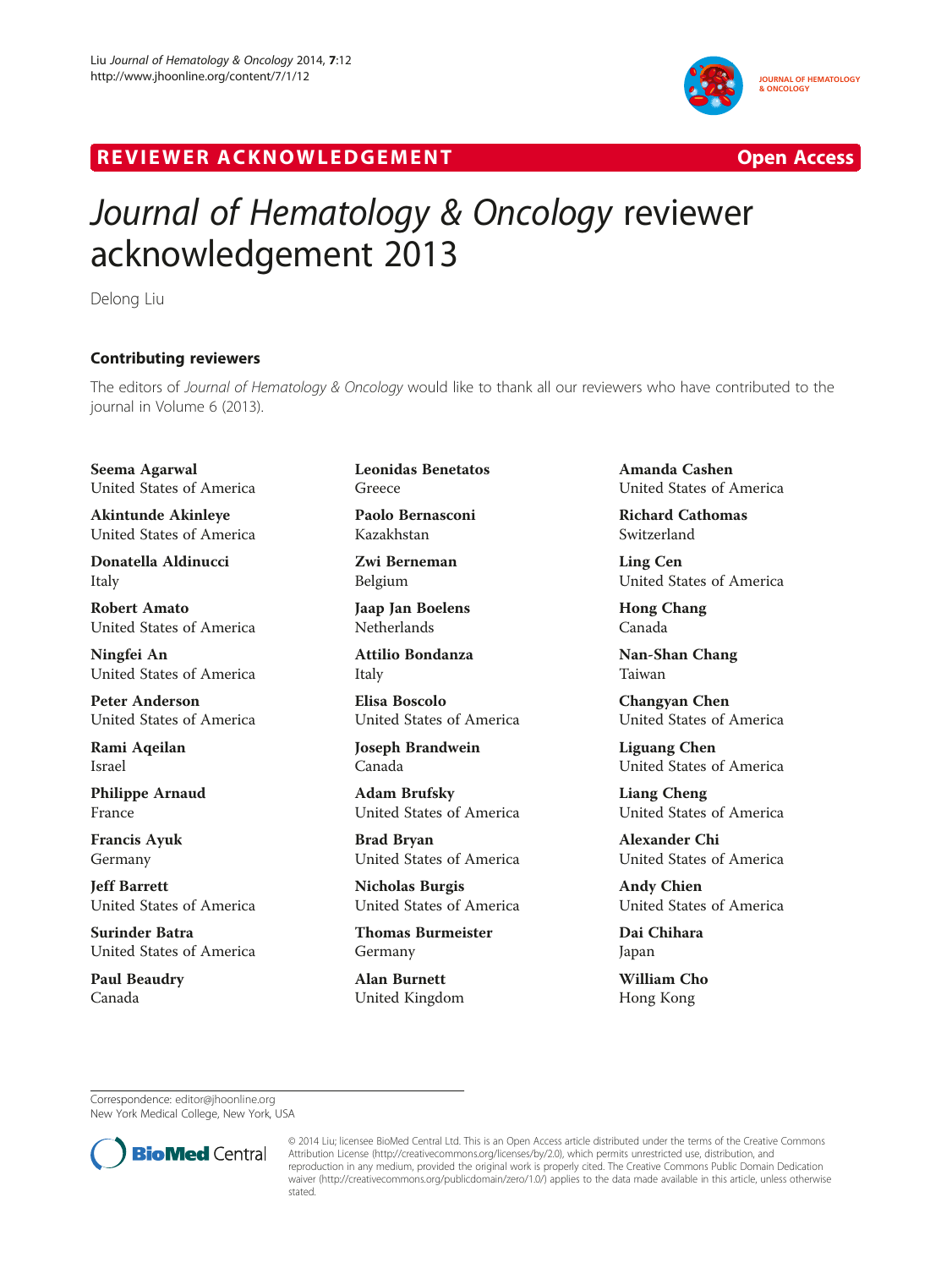

## R EVI EW E R ACKNOW L EDG EM EN T Open Access



## Journal of Hematology & Oncology reviewer acknowledgement 2013

Delong Liu

## Contributing reviewers

The editors of *Journal of Hematology & Oncology* would like to thank all our reviewers who have contributed to the<br>iournal in Volume 6 (2013) journal in Volume 6 (2013).

Seema Agarwal United States of America

Akintunde Akinleye United States of America

Donatella Aldinucci Italy

Robert Amato United States of America

Ningfei An United States of America

Peter Anderson United States of America

Rami Aqeilan Israel

Philippe Arnaud France

Francis Ayuk Germany

Jeff Barrett United States of America

Surinder Batra United States of America

Paul Beaudry Canada

Leonidas Benetatos Greece

Paolo Bernasconi Kazakhstan

Zwi Berneman Belgium

Jaap Jan Boelens **Netherlands** 

Attilio Bondanza Italy

Elisa Boscolo United States of America

Joseph Brandwein Canada

Adam Brufsky United States of America

Brad Bryan United States of America

Nicholas Burgis United States of America

Thomas Burmeister Germany

Alan Burnett United Kingdom Amanda Cashen United States of America

Richard Cathomas Switzerland

Ling Cen United States of America

Hong Chang Canada

Nan-Shan Chang Taiwan

Changyan Chen United States of America

Liguang Chen United States of America

Liang Cheng United States of America

Alexander Chi United States of America

Andy Chien United States of America

Dai Chihara Japan

William Cho Hong Kong

Correspondence: [editor@jhoonline.org](mailto:editor@jhoonline.org) New York Medical College, New York, USA



<sup>© 2014</sup> Liu; licensee BioMed Central Ltd. This is an Open Access article distributed under the terms of the Creative Commons Attribution License (<http://creativecommons.org/licenses/by/2.0>), which permits unrestricted use, distribution, and reproduction in any medium, provided the original work is properly cited. The Creative Commons Public Domain Dedication waiver [\(http://creativecommons.org/publicdomain/zero/1.0/\)](http://creativecommons.org/publicdomain/zero/1.0/) applies to the data made available in this article, unless otherwise stated.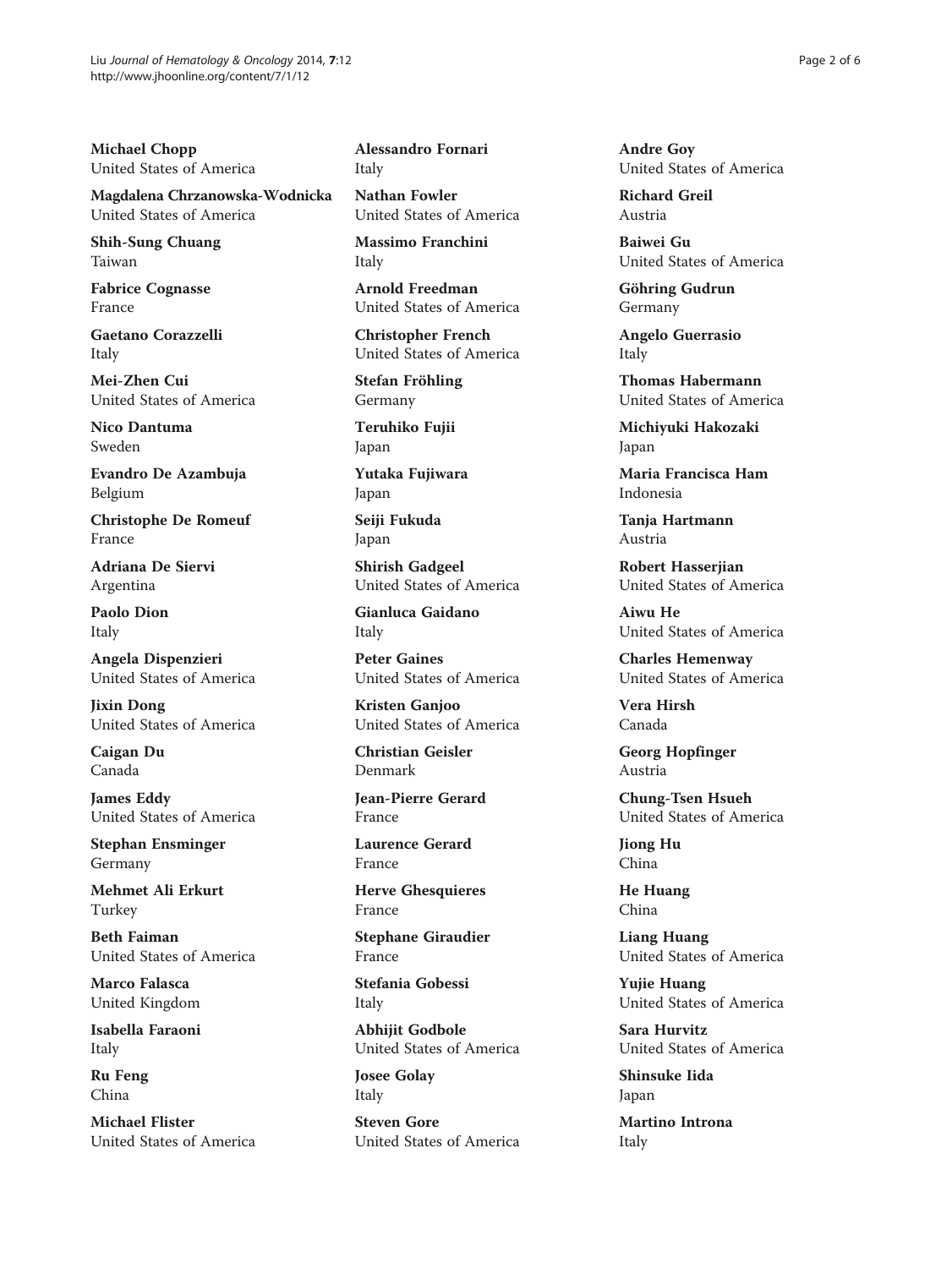Michael Chopp United States of America

Magdalena Chrzanowska-Wodnicka United States of America

Shih-Sung Chuang Taiwan

Fabrice Cognasse France

Gaetano Corazzelli Italy

Mei-Zhen Cui United States of America

Nico Dantuma Sweden

Evandro De Azambuja Belgium

Christophe De Romeuf France

Adriana De Siervi Argentina

Paolo Dion Italy

Angela Dispenzieri United States of America

Jixin Dong United States of America

Caigan Du Canada

James Eddy United States of America

Stephan Ensminger Germany

Mehmet Ali Erkurt Turkey

Beth Faiman United States of America

Marco Falasca United Kingdom

Isabella Faraoni Italy

Ru Feng China

Michael Flister United States of America Alessandro Fornari Italy

Nathan Fowler United States of America

Massimo Franchini Italy

Arnold Freedman United States of America

Christopher French United States of America

Stefan Fröhling Germany

Teruhiko Fujii Japan

Yutaka Fujiwara Japan

Seiji Fukuda Japan

Shirish Gadgeel United States of America

Gianluca Gaidano Italy

Peter Gaines United States of America

Kristen Ganjoo United States of America

Christian Geisler Denmark

Jean-Pierre Gerard France

Laurence Gerard France

Herve Ghesquieres France

Stephane Giraudier France

Stefania Gobessi Italy

Abhijit Godbole United States of America

Josee Golay Italy

Steven Gore United States of America Andre Goy United States of America

Richard Greil Austria

Baiwei Gu United States of America

Göhring Gudrun Germany

Angelo Guerrasio Italy

Thomas Habermann United States of America

Michiyuki Hakozaki Japan

Maria Francisca Ham Indonesia

Tanja Hartmann Austria

Robert Hasserjian United States of America

Aiwu He United States of America

Charles Hemenway United States of America

Vera Hirsh Canada

Georg Hopfinger Austria

Chung-Tsen Hsueh United States of America

Jiong Hu China

He Huang China

Liang Huang United States of America

Yujie Huang United States of America

Sara Hurvitz United States of America

Shinsuke Iida Japan

Martino Introna Italy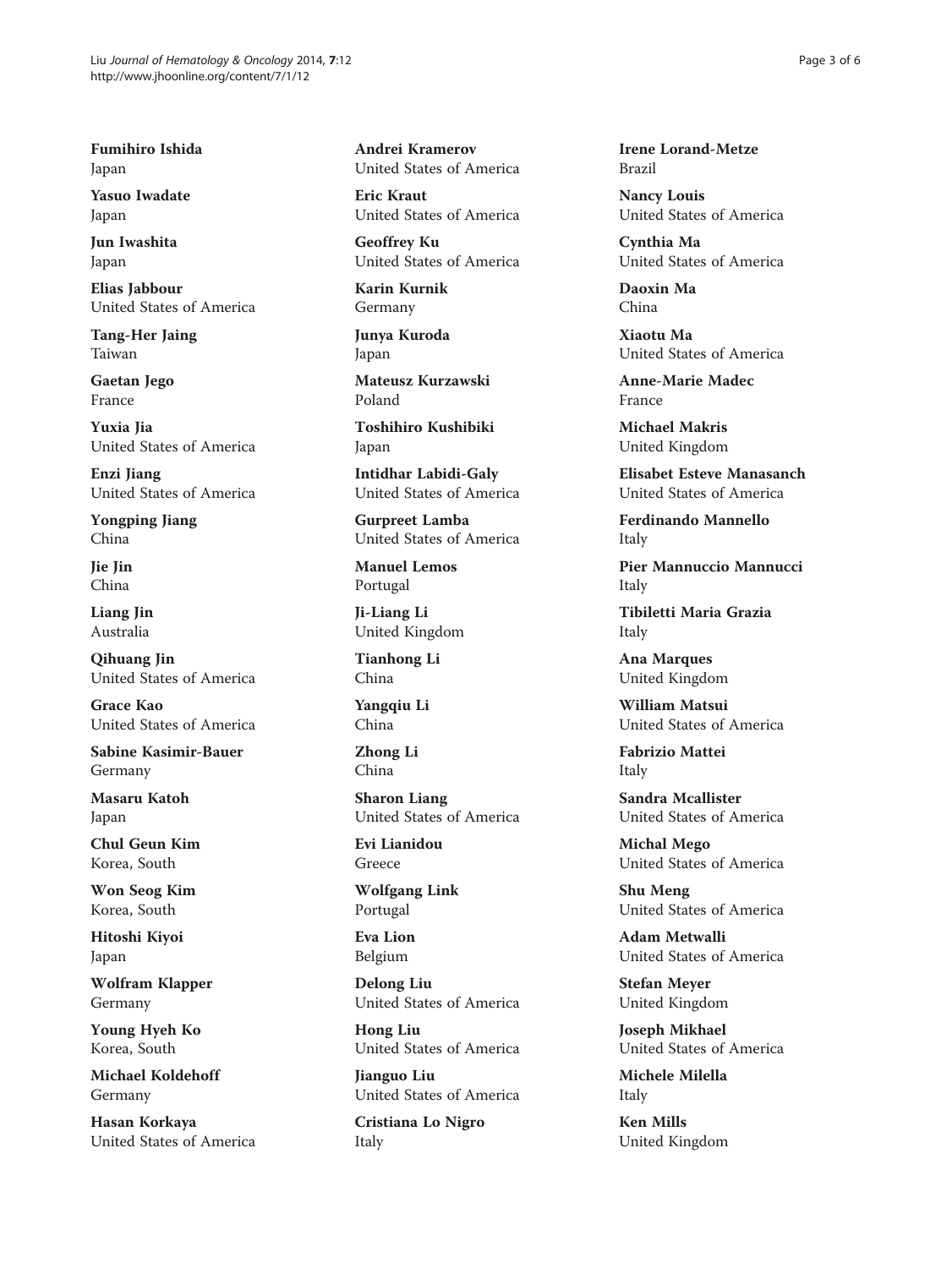Fumihiro Ishida Japan

Yasuo Iwadate Japan

Jun Iwashita Japan

Elias Jabbour United States of America

Tang-Her Jaing Taiwan

Gaetan Jego France

Yuxia Jia United States of America

Enzi Jiang United States of America

Yongping Jiang China

Jie Jin China

Liang Jin Australia

Qihuang Jin United States of America

Grace Kao United States of America

Sabine Kasimir-Bauer Germany

Masaru Katoh Japan

Chul Geun Kim Korea, South

Won Seog Kim Korea, South

Hitoshi Kiyoi Japan

Wolfram Klapper Germany

Young Hyeh Ko Korea, South

Michael Koldehoff Germany

Hasan Korkaya United States of America Andrei Kramerov United States of America

Eric Kraut United States of America

Geoffrey Ku United States of America

Karin Kurnik Germany

Junya Kuroda Japan

Mateusz Kurzawski Poland

Toshihiro Kushibiki Japan

Intidhar Labidi-Galy United States of America

Gurpreet Lamba United States of America

Manuel Lemos Portugal

Ji-Liang Li United Kingdom

Tianhong Li China

Yangqiu Li China

Zhong Li China

Sharon Liang United States of America

Evi Lianidou Greece

Wolfgang Link Portugal

Eva Lion Belgium

Delong Liu United States of America

Hong Liu United States of America

Jianguo Liu United States of America

Cristiana Lo Nigro Italy

Irene Lorand-Metze Brazil

Nancy Louis United States of America

Cynthia Ma United States of America

Daoxin Ma China

Xiaotu Ma United States of America

Anne-Marie Madec France

Michael Makris United Kingdom

Elisabet Esteve Manasanch United States of America

Ferdinando Mannello Italy

Pier Mannuccio Mannucci Italy

Tibiletti Maria Grazia Italy

Ana Marques United Kingdom

William Matsui United States of America

Fabrizio Mattei Italy

Sandra Mcallister United States of America

Michal Mego United States of America

Shu Meng United States of America

Adam Metwalli United States of America

Stefan Meyer United Kingdom

Joseph Mikhael United States of America

Michele Milella Italy

Ken Mills United Kingdom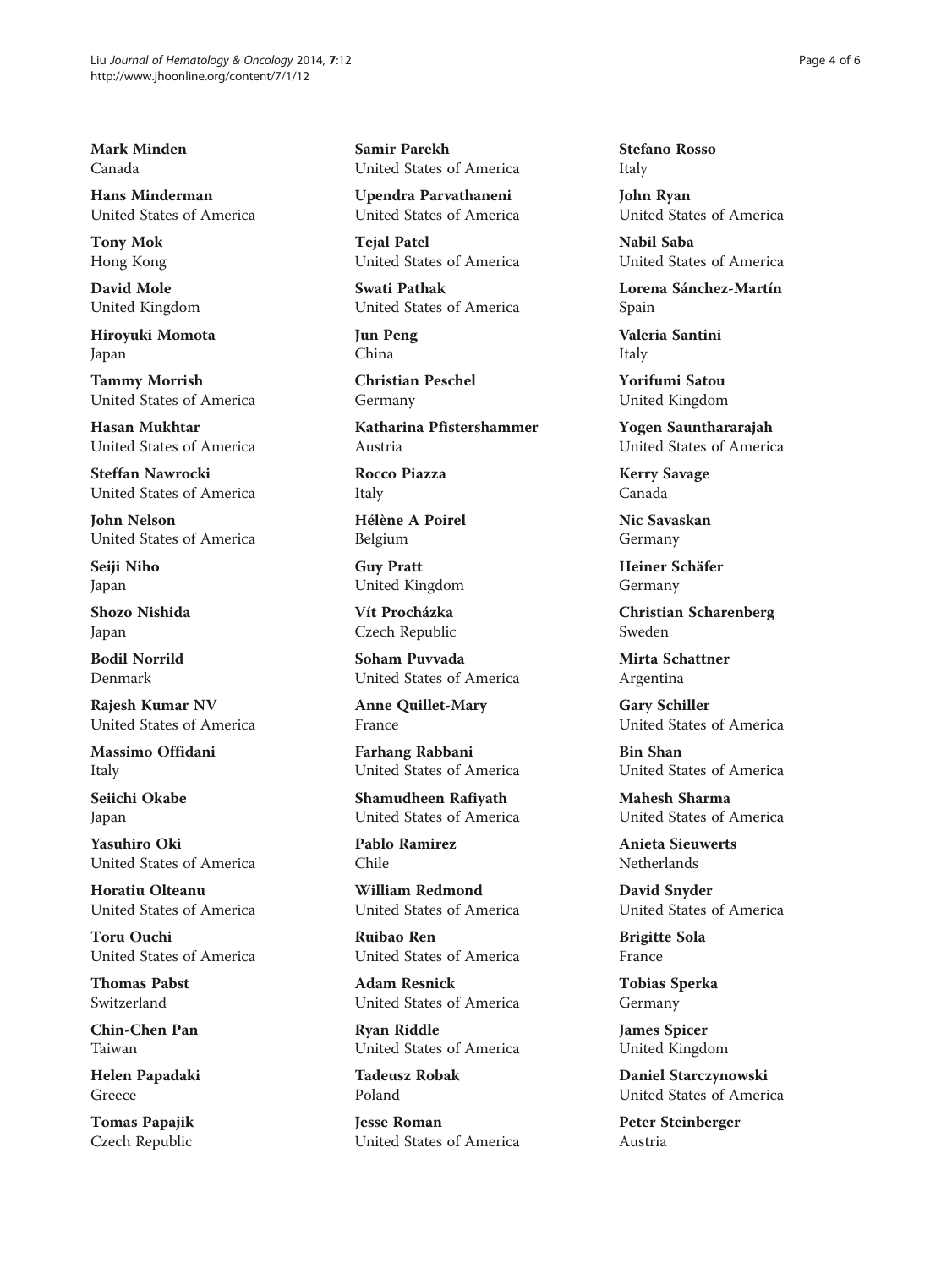Mark Minden Canada

Hans Minderman United States of America

Tony Mok Hong Kong

David Mole United Kingdom

Hiroyuki Momota Japan

Tammy Morrish United States of America

Hasan Mukhtar United States of America

Steffan Nawrocki United States of America

John Nelson United States of America

Seiji Niho Japan

Shozo Nishida Japan

Bodil Norrild Denmark

Rajesh Kumar NV United States of America

Massimo Offidani Italy

Seiichi Okabe Japan

Yasuhiro Oki United States of America

Horatiu Olteanu United States of America

Toru Ouchi United States of America

Thomas Pabst Switzerland

Chin-Chen Pan Taiwan

Helen Papadaki Greece

Tomas Papajik Czech Republic

Samir Parekh United States of America

Upendra Parvathaneni United States of America

**Tejal Patel** United States of America

Swati Pathak United States of America

Jun Peng China

Christian Peschel Germany

Katharina Pfistershammer Austria

Rocco Piazza Italy

Hélène A Poirel Belgium

Guy Pratt United Kingdom

Vít Procházka Czech Republic

Soham Puvvada United States of America

Anne Quillet-Mary France

Farhang Rabbani United States of America

Shamudheen Rafiyath United States of America

Pablo Ramirez Chile

William Redmond United States of America

Ruibao Ren United States of America

Adam Resnick United States of America

Ryan Riddle United States of America

Tadeusz Robak Poland

Jesse Roman United States of America Stefano Rosso Italy

John Ryan United States of America

Nabil Saba United States of America

Lorena Sánchez-Martín Spain

Valeria Santini Italy

Yorifumi Satou United Kingdom

Yogen Saunthararajah United States of America

Kerry Savage Canada

Nic Savaskan Germany

Heiner Schäfer Germany

Christian Scharenberg Sweden

Mirta Schattner Argentina

Gary Schiller United States of America

Bin Shan United States of America

Mahesh Sharma United States of America

Anieta Sieuwerts Netherlands

David Snyder United States of America

Brigitte Sola France

Tobias Sperka Germany

James Spicer United Kingdom

Daniel Starczynowski United States of America

Peter Steinberger Austria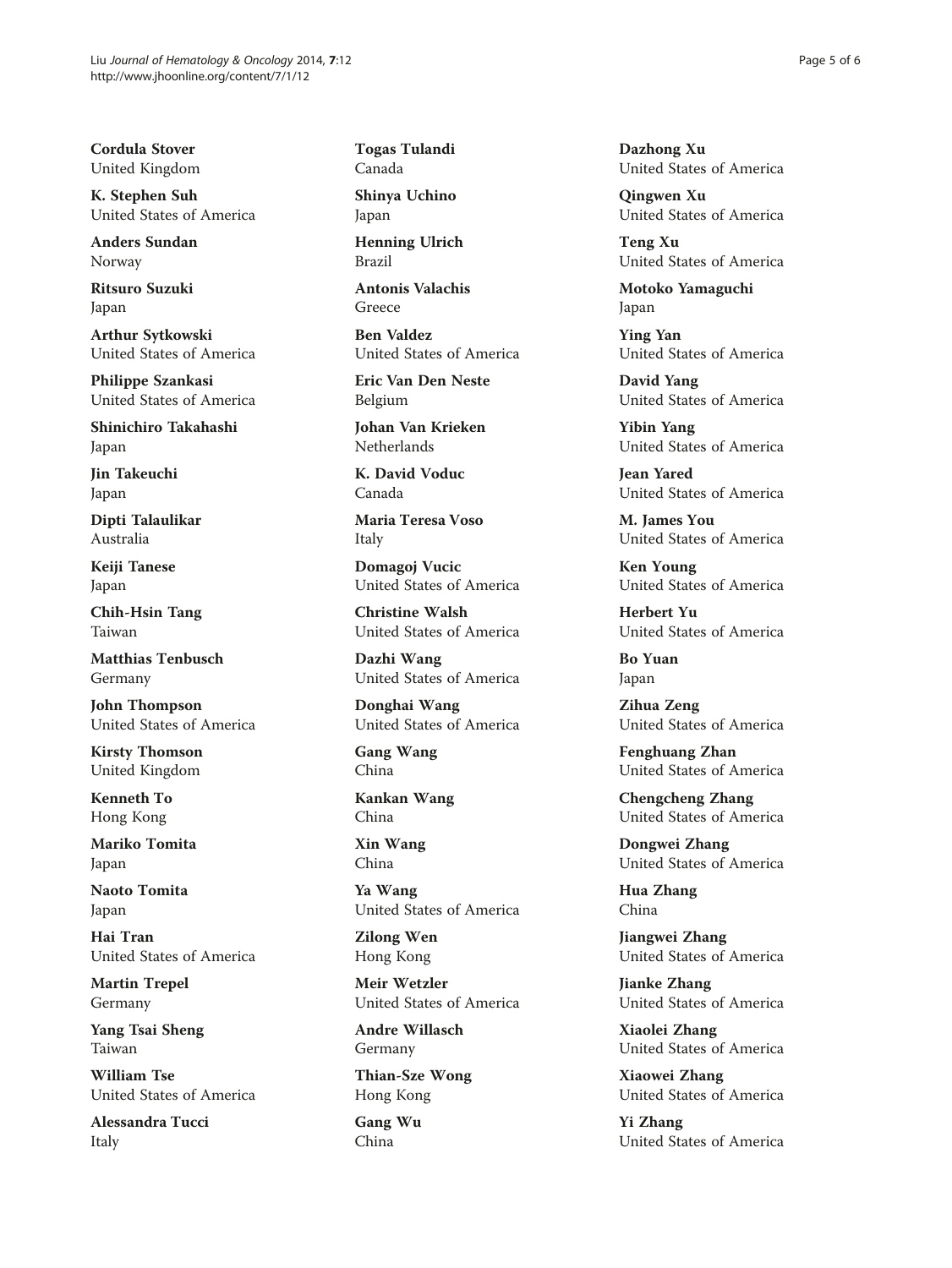Cordula Stover United Kingdom

K. Stephen Suh United States of America

Anders Sundan Norway

Ritsuro Suzuki Japan

Arthur Sytkowski United States of America

Philippe Szankasi United States of America

Shinichiro Takahashi Japan

Jin Takeuchi Japan

Dipti Talaulikar Australia

Keiji Tanese Japan

Chih-Hsin Tang Taiwan

Matthias Tenbusch Germany

John Thompson United States of America

Kirsty Thomson United Kingdom

Kenneth To Hong Kong

Mariko Tomita Japan

Naoto Tomita Japan

Hai Tran United States of America

Martin Trepel Germany

Yang Tsai Sheng Taiwan

William Tse United States of America

Alessandra Tucci Italy

Togas Tulandi Canada

Shinya Uchino Japan

Henning Ulrich Brazil

Antonis Valachis Greece

Ben Valdez United States of America

Eric Van Den Neste Belgium

Johan Van Krieken Netherlands

K. David Voduc Canada

Maria Teresa Voso Italy

Domagoj Vucic United States of America

Christine Walsh United States of America

Dazhi Wang United States of America

Donghai Wang United States of America

Gang Wang China

Kankan Wang China

Xin Wang China

Ya Wang United States of America

Zilong Wen Hong Kong

Meir Wetzler United States of America

Andre Willasch Germany

Thian-Sze Wong Hong Kong

Gang Wu China

Dazhong Xu United States of America

Qingwen Xu United States of America

Teng Xu United States of America

Motoko Yamaguchi Japan

Ying Yan United States of America

David Yang United States of America

Yibin Yang United States of America

Jean Yared United States of America

M. James You United States of America

Ken Young United States of America

Herbert Yu United States of America

Bo Yuan Japan

Zihua Zeng United States of America

Fenghuang Zhan United States of America

Chengcheng Zhang United States of America

Dongwei Zhang United States of America

Hua Zhang China

Jiangwei Zhang United States of America

Jianke Zhang United States of America

Xiaolei Zhang United States of America

Xiaowei Zhang United States of America

Yi Zhang United States of America